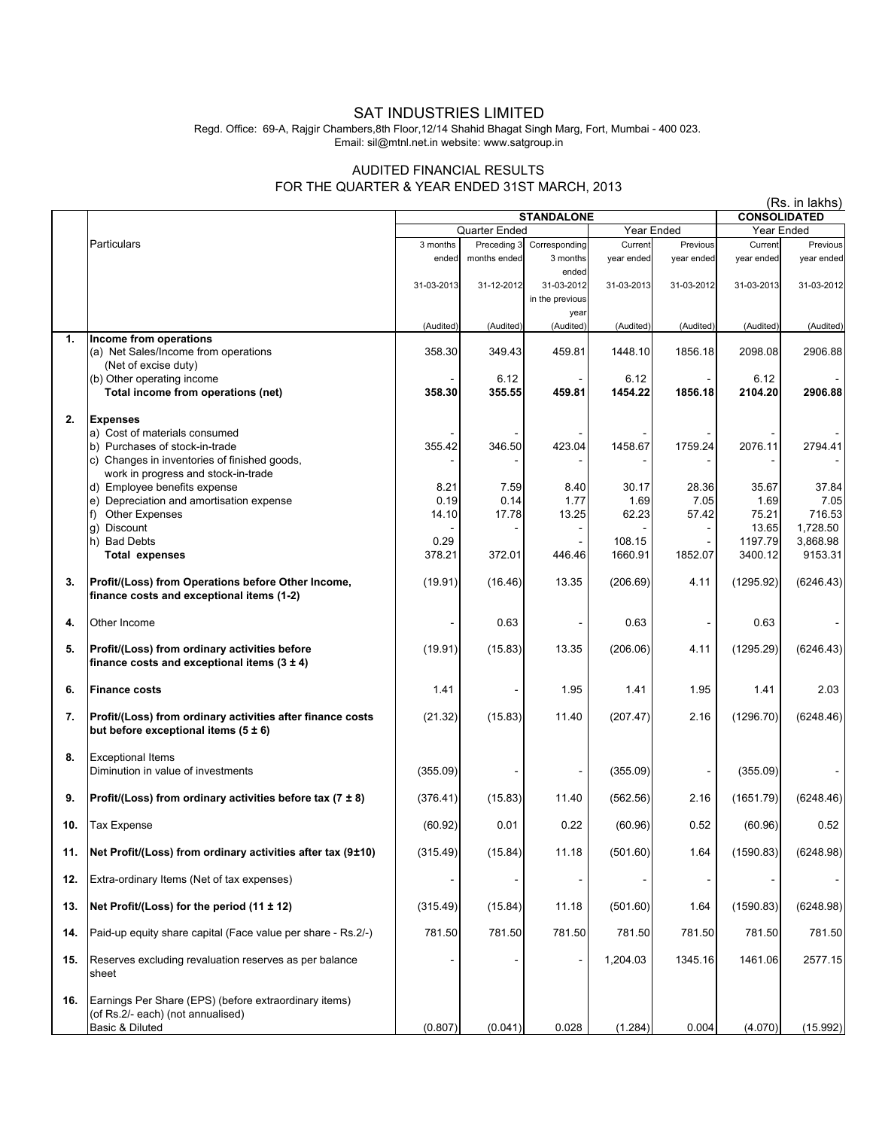## SAT INDUSTRIES LIMITED

Regd. Office: 69-A, Rajgir Chambers,8th Floor,12/14 Shahid Bhagat Singh Marg, Fort, Mumbai - 400 023. Email: sil@mtnl.net.in website: www.satgroup.in

## AUDITED FINANCIAL RESULTS FOR THE QUARTER & YEAR ENDED 31ST MARCH, 2013

(Rs. in lakhs)

|     |                                                               | <b>STANDALONE</b>           |              |                   |            | <b>CONSOLIDATED</b> |                  |                     |
|-----|---------------------------------------------------------------|-----------------------------|--------------|-------------------|------------|---------------------|------------------|---------------------|
|     |                                                               | Quarter Ended<br>Year Ended |              |                   |            | Year Ended          |                  |                     |
|     | Particulars                                                   | 3 months                    | Preceding 3  | Corresponding     | Current    | Previous            | Current          | Previous            |
|     |                                                               | ended                       | months ended | 3 months          | year ended | year ended          | year ended       | year ended          |
|     |                                                               |                             |              | ended             |            |                     |                  |                     |
|     |                                                               | 31-03-2013                  | 31-12-2012   | 31-03-2012        | 31-03-2013 | 31-03-2012          | 31-03-2013       | 31-03-2012          |
|     |                                                               |                             |              | in the previous   |            |                     |                  |                     |
|     |                                                               | (Audited)                   | (Audited)    | year<br>(Audited) | (Audited)  | (Audited)           | (Audited)        | (Audited)           |
| 1.  | Income from operations                                        |                             |              |                   |            |                     |                  |                     |
|     | (a) Net Sales/Income from operations                          | 358.30                      | 349.43       | 459.81            | 1448.10    | 1856.18             | 2098.08          | 2906.88             |
|     | (Net of excise duty)                                          |                             |              |                   |            |                     |                  |                     |
|     | (b) Other operating income                                    |                             | 6.12         |                   | 6.12       |                     | 6.12             |                     |
|     | Total income from operations (net)                            | 358.30                      | 355.55       | 459.81            | 1454.22    | 1856.18             | 2104.20          | 2906.88             |
| 2.  | <b>Expenses</b>                                               |                             |              |                   |            |                     |                  |                     |
|     | a) Cost of materials consumed                                 |                             |              |                   |            |                     |                  |                     |
|     | b) Purchases of stock-in-trade                                | 355.42                      | 346.50       | 423.04            | 1458.67    | 1759.24             | 2076.11          | 2794.41             |
|     | c) Changes in inventories of finished goods,                  |                             |              |                   |            |                     |                  |                     |
|     | work in progress and stock-in-trade                           |                             |              |                   |            |                     |                  |                     |
|     | d) Employee benefits expense                                  | 8.21                        | 7.59         | 8.40              | 30.17      | 28.36               | 35.67            | 37.84               |
|     | e) Depreciation and amortisation expense                      | 0.19                        | 0.14         | 1.77              | 1.69       | 7.05                | 1.69             | 7.05                |
|     | f) Other Expenses                                             | 14.10                       | 17.78        | 13.25             | 62.23      | 57.42               | 75.21            | 716.53              |
|     | g) Discount<br>h) Bad Debts                                   | 0.29                        |              |                   | 108.15     |                     | 13.65<br>1197.79 | 1.728.50            |
|     | <b>Total expenses</b>                                         | 378.21                      | 372.01       | 446.46            | 1660.91    | 1852.07             | 3400.12          | 3,868.98<br>9153.31 |
|     |                                                               |                             |              |                   |            |                     |                  |                     |
| 3.  | Profit/(Loss) from Operations before Other Income,            | (19.91)                     | (16.46)      | 13.35             | (206.69)   | 4.11                | (1295.92)        | (6246.43)           |
|     | finance costs and exceptional items (1-2)                     |                             |              |                   |            |                     |                  |                     |
|     |                                                               |                             |              |                   |            |                     |                  |                     |
| 4.  | Other Income                                                  |                             | 0.63         |                   | 0.63       |                     | 0.63             |                     |
| 5.  | Profit/(Loss) from ordinary activities before                 | (19.91)                     | (15.83)      | 13.35             | (206.06)   | 4.11                | (1295.29)        | (6246.43)           |
|     | finance costs and exceptional items $(3 \pm 4)$               |                             |              |                   |            |                     |                  |                     |
|     |                                                               |                             |              |                   |            |                     |                  |                     |
| 6.  | <b>Finance costs</b>                                          | 1.41                        |              | 1.95              | 1.41       | 1.95                | 1.41             | 2.03                |
|     |                                                               |                             |              |                   |            |                     |                  |                     |
| 7.  | Profit/(Loss) from ordinary activities after finance costs    | (21.32)                     | (15.83)      | 11.40             | (207.47)   | 2.16                | (1296.70)        | (6248.46)           |
|     | but before exceptional items $(5 \pm 6)$                      |                             |              |                   |            |                     |                  |                     |
| 8.  | <b>Exceptional Items</b>                                      |                             |              |                   |            |                     |                  |                     |
|     | Diminution in value of investments                            | (355.09)                    |              |                   | (355.09)   |                     | (355.09)         |                     |
|     |                                                               |                             |              |                   |            |                     |                  |                     |
| 9.  | Profit/(Loss) from ordinary activities before tax (7 $\pm$ 8) | (376.41)                    | (15.83)      | 11.40             | (562.56)   | 2.16                | (1651.79)        | (6248.46)           |
|     |                                                               |                             |              |                   |            |                     |                  |                     |
| 10. | <b>Tax Expense</b>                                            | (60.92)                     | 0.01         | 0.22              | (60.96)    | 0.52                | (60.96)          | 0.52                |
| 11. | Net Profit/(Loss) from ordinary activities after tax (9±10)   | (315.49)                    | (15.84)      | 11.18             | (501.60)   | 1.64                | (1590.83)        | (6248.98)           |
|     |                                                               |                             |              |                   |            |                     |                  |                     |
| 12. | Extra-ordinary Items (Net of tax expenses)                    |                             |              |                   |            |                     |                  |                     |
|     |                                                               |                             |              |                   |            |                     |                  |                     |
| 13. | Net Profit/(Loss) for the period (11 ± 12)                    | (315.49)                    | (15.84)      | 11.18             | (501.60)   | 1.64                | (1590.83)        | (6248.98)           |
|     |                                                               |                             |              |                   |            |                     |                  |                     |
| 14. | Paid-up equity share capital (Face value per share - Rs.2/-)  | 781.50                      | 781.50       | 781.50            | 781.50     | 781.50              | 781.50           | 781.50              |
| 15. | Reserves excluding revaluation reserves as per balance        |                             |              |                   | 1,204.03   | 1345.16             | 1461.06          | 2577.15             |
|     | sheet                                                         |                             |              |                   |            |                     |                  |                     |
|     |                                                               |                             |              |                   |            |                     |                  |                     |
| 16. | Earnings Per Share (EPS) (before extraordinary items)         |                             |              |                   |            |                     |                  |                     |
|     | (of Rs.2/- each) (not annualised)                             |                             |              |                   |            |                     |                  |                     |
|     | Basic & Diluted                                               | (0.807)                     | (0.041)      | 0.028             | (1.284)    | 0.004               | (4.070)          | (15.992)            |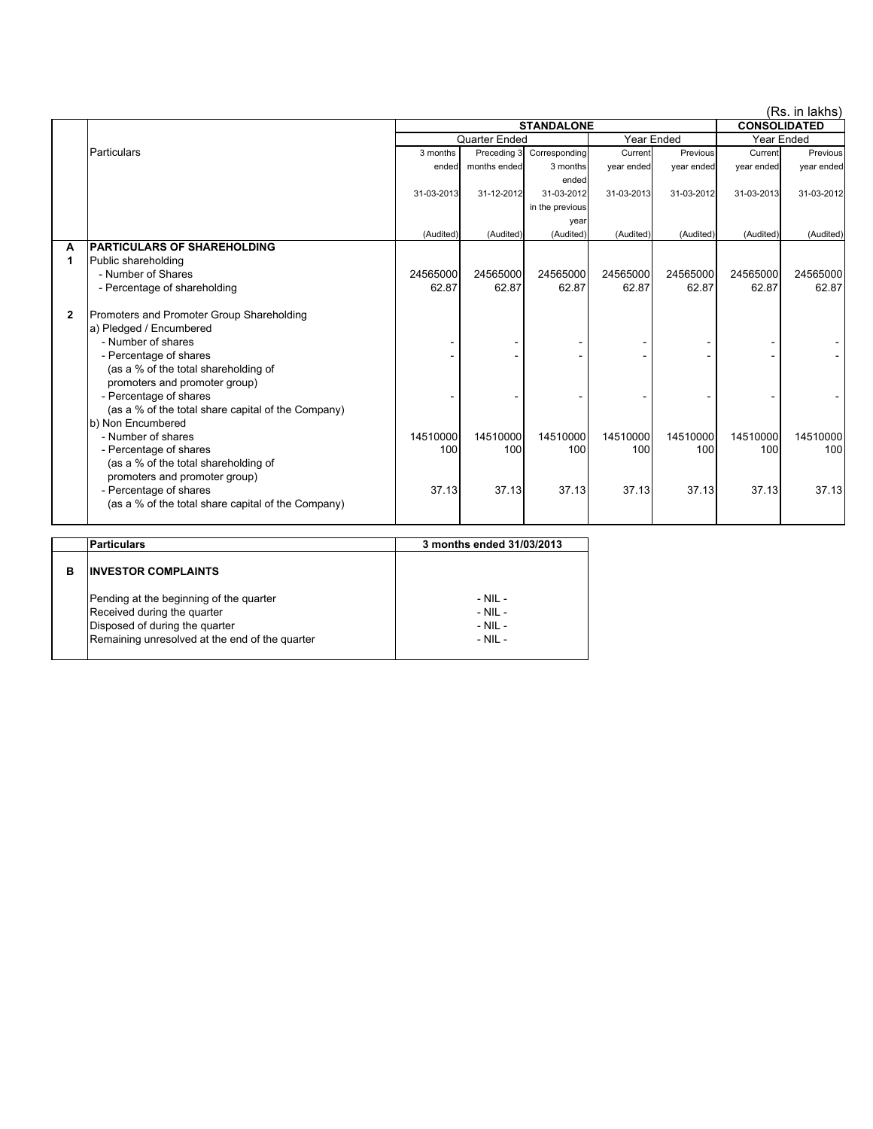|   |                                                    |                   |              |                 |            |                     |                   | (Rs. in lakhs) |
|---|----------------------------------------------------|-------------------|--------------|-----------------|------------|---------------------|-------------------|----------------|
|   |                                                    | <b>STANDALONE</b> |              |                 |            | <b>CONSOLIDATED</b> |                   |                |
|   |                                                    | Quarter Ended     |              |                 | Year Ended |                     | <b>Year Ended</b> |                |
|   | Particulars                                        | 3 months          | Preceding 3  | Corresponding   | Current    | Previous            | Current           | Previous       |
|   |                                                    | ended             | months ended | 3 months        | year ended | year ended          | year ended        | year ended     |
|   |                                                    |                   |              | ended           |            |                     |                   |                |
|   |                                                    | 31-03-2013        | 31-12-2012   | 31-03-2012      | 31-03-2013 | 31-03-2012          | 31-03-2013        | 31-03-2012     |
|   |                                                    |                   |              | in the previous |            |                     |                   |                |
|   |                                                    |                   |              | year            |            |                     |                   |                |
|   |                                                    | (Audited)         | (Audited)    | (Audited)       | (Audited)  | (Audited)           | (Audited)         | (Audited)      |
| A | <b>PARTICULARS OF SHAREHOLDING</b>                 |                   |              |                 |            |                     |                   |                |
| 1 | Public shareholding                                |                   |              |                 |            |                     |                   |                |
|   | - Number of Shares                                 | 24565000          | 24565000     | 24565000        | 24565000   | 24565000            | 24565000          | 24565000       |
|   | - Percentage of shareholding                       | 62.87             | 62.87        | 62.87           | 62.87      | 62.87               | 62.87             | 62.87          |
|   |                                                    |                   |              |                 |            |                     |                   |                |
| 2 | Promoters and Promoter Group Shareholding          |                   |              |                 |            |                     |                   |                |
|   | a) Pledged / Encumbered                            |                   |              |                 |            |                     |                   |                |
|   | - Number of shares                                 |                   |              |                 |            |                     |                   |                |
|   | - Percentage of shares                             |                   |              |                 |            |                     |                   |                |
|   | (as a % of the total shareholding of               |                   |              |                 |            |                     |                   |                |
|   | promoters and promoter group)                      |                   |              |                 |            |                     |                   |                |
|   | - Percentage of shares                             |                   |              |                 |            |                     |                   |                |
|   | (as a % of the total share capital of the Company) |                   |              |                 |            |                     |                   |                |
|   | b) Non Encumbered                                  |                   |              |                 |            |                     |                   |                |
|   | - Number of shares                                 | 14510000          | 14510000     | 14510000        | 14510000   | 14510000            | 14510000          | 14510000       |
|   | - Percentage of shares                             | 100               | 100          | 100             | 100        | 100                 | 100               | 100            |
|   | (as a % of the total shareholding of               |                   |              |                 |            |                     |                   |                |
|   | promoters and promoter group)                      |                   |              |                 |            |                     |                   |                |
|   | - Percentage of shares                             | 37.13             | 37.13        | 37.13           | 37.13      | 37.13               | 37.13             | 37.13          |
|   | (as a % of the total share capital of the Company) |                   |              |                 |            |                     |                   |                |
|   |                                                    |                   |              |                 |            |                     |                   |                |

|   | Particulars                                                                                                                                                | 3 months ended 31/03/2013                                |  |  |  |
|---|------------------------------------------------------------------------------------------------------------------------------------------------------------|----------------------------------------------------------|--|--|--|
| в | <b>INVESTOR COMPLAINTS</b>                                                                                                                                 |                                                          |  |  |  |
|   | Pending at the beginning of the quarter<br>Received during the quarter<br>Disposed of during the quarter<br>Remaining unresolved at the end of the quarter | $-$ NII $-$<br>$-$ NIL $-$<br>$-$ NIL $-$<br>$-$ NIL $-$ |  |  |  |